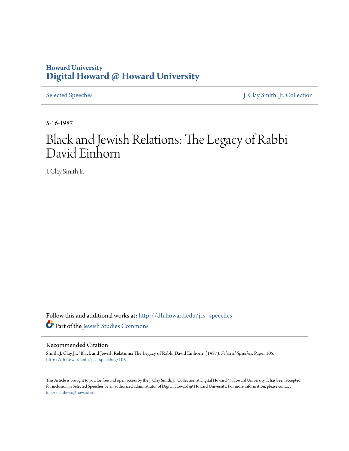## **Howard University [Digital Howard @ Howard University](http://dh.howard.edu?utm_source=dh.howard.edu%2Fjcs_speeches%2F105&utm_medium=PDF&utm_campaign=PDFCoverPages)**

[Selected Speeches](http://dh.howard.edu/jcs_speeches?utm_source=dh.howard.edu%2Fjcs_speeches%2F105&utm_medium=PDF&utm_campaign=PDFCoverPages) [J. Clay Smith, Jr. Collection](http://dh.howard.edu/jcsmith?utm_source=dh.howard.edu%2Fjcs_speeches%2F105&utm_medium=PDF&utm_campaign=PDFCoverPages)

5-16-1987

## Black and Jewish Relations: The Legacy of Rabbi David Einhorn

J. Clay Smith Jr.

Follow this and additional works at: [http://dh.howard.edu/jcs\\_speeches](http://dh.howard.edu/jcs_speeches?utm_source=dh.howard.edu%2Fjcs_speeches%2F105&utm_medium=PDF&utm_campaign=PDFCoverPages) Part of the [Jewish Studies Commons](http://network.bepress.com/hgg/discipline/479?utm_source=dh.howard.edu%2Fjcs_speeches%2F105&utm_medium=PDF&utm_campaign=PDFCoverPages)

## Recommended Citation

Smith, J. Clay Jr., "Black and Jewish Relations: The Legacy of Rabbi David Einhorn" (1987). *Selected Speeches.* Paper 105. [http://dh.howard.edu/jcs\\_speeches/105](http://dh.howard.edu/jcs_speeches/105?utm_source=dh.howard.edu%2Fjcs_speeches%2F105&utm_medium=PDF&utm_campaign=PDFCoverPages)

This Article is brought to you for free and open access by the J. Clay Smith, Jr. Collection at Digital Howard @ Howard University. It has been accepted for inclusion in Selected Speeches by an authorized administrator of Digital Howard @ Howard University. For more information, please contact [lopez.matthews@howard.edu.](mailto:lopez.matthews@howard.edu)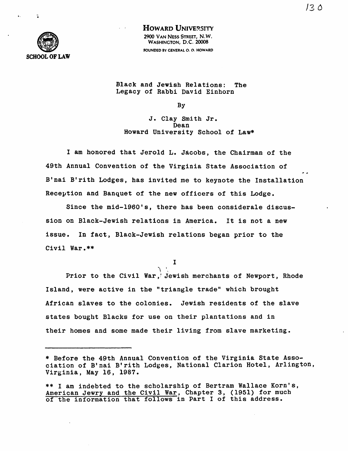/3 0



HOWARD UNIVERSITY 2900 VAN NESS STREET, N.W. WASHINGTON, D.C. 20008 FOUNDED BY GENERAL O. O. HOWARD

Black and Jewish Relations: The Legacy of Rabbi David Einhorn

By

J. Clay Smith Jr. Dean Howard University School of Law\*

I am honored that Jerold L. Jacobs, the Chairman of the 49th Annual Convention of the Virginia State Association of B'nai B'rith Lodges, has invited me to keynote the Installation Reception and Banquet of the new officers of this Lodge.

Since the mid-1960's, there has been considerale discussion on Black-Jewish relations in America. It is not a new issue. In fact, Black-Jewish relations began prior to the Civil War.\*\*

I

 $\setminus$  ' $\setminus$ Prior to the Civil War,' Jewish merchants of Newport, Rhode Island, were active in the "triangle trade" which brought African slaves to the colonies. Jewish residents of the slave states bought Blacks for use on their plantations and in their homes and some made their living from slave marketing.

<sup>\*</sup> Before the 49th Annual Convention of the Virginia State Association of B'nai B'rith Lodges, National Clarion Hotel, Arlington, Virginia, May 16, 1987.

<sup>\*\*</sup> I am indebted to the scholarship of Bertram Wallace Korn's, American Jewry and the Civil War, Chapter 3, (1951) for much of the information that follows in Part I of this address.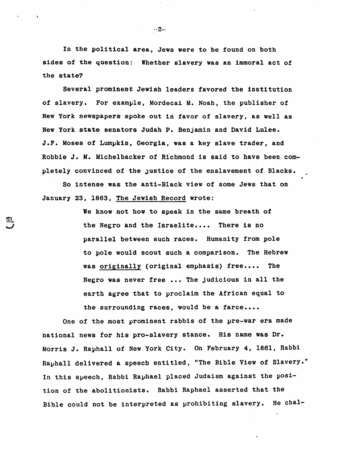In the political area, Jews were to be found on both sides of the question: Whether slavery was an immoral act of the state?

Several prominent Jewish leaders favored the institution of slavery. For example, Mordecai M. Noah, the publisher of New York newspapers spoke out in favor of slavery, as well as New York state senators Judah P. Benjamin and David Lulee. J.F. Moses of Lumpkin, Georgia, was a key slave trader, and Robbie J. M. Michelbacker of Richmond is said to have been completely convinced of the Justice of the enslavement of Blacks.

So intense was the anti-Black view of some Jews that on January 23, 1863, The Jewish Record wrote:

IIIL

We know not how to speak in the same breath of the Negro and the Israelite.... There is no parallel between such races. Humanity from pole to pole would scout such a comparison. The Hebrew was originally (original emphasis) free.... The Negro was never free ••• The Judicious in all the earth agree that to proclaim the African equal to the surrounding races, would be a farce....

One of the most prominent rabbis of the pre-war era made national news for his pro-slavery stance. His name was Dr. Morris J. Raphall of New York City. On February 4, 1861, Rabbi Rayhall delivered a speech entitled, "The Bible View of Slavery." In this speech, Rabbi Raphael placed Judaism against the position of the abolitionists. Rabbi Raphael asserted that the Bible could not be interpreted as prohibiting slavery. He chal-

 $-2-$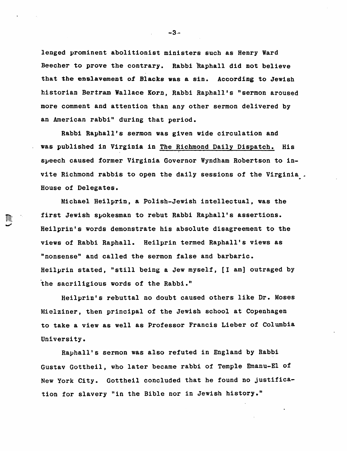lenged prominent abolitionist ministers such as Henry Ward Beecher to prove the contrary. Rabbi Raphall did not believe that the enslavement of Blacks was a sin. According to Jewish historian Bertram Wallace Korn, Rabbi Raphal1's "sermon aroused more comment and attention than any other sermon delivered by an American rabbi" during that period.

Rabbi Raphall's sermon was given wide circulation and was published in Virginia in The Richmond Daily Dispatch. His speech caused former Virginia Governor Wyndham Robertson to invite Richmond rabbis to open the daily sessions of the Virginia. House of Delegates.

Michael Heilprin, a Polish-Jewish intellectual, was the first Jewish spokesman to rebut Rabbi Raphall's assertions. Heilprin's words demonstrate his absolute disagreement to the views of Rabbi Raphall. Heilprin termed Raphall's views as "nonsense" and called the sermon false and barbaric. Heilprin stated, "still being a Jew myself, [I am] outraged by the sacriligious words of the Rabbi."

W.

Heilprin's rebuttal no doubt caused others like Dr. Moses Mielziner, then principal of the Jewish school at Copenhagen to take a view as well as Professor Francis Lieber of Columbia University.

Raphall's sermon was also refuted in England by Rabbi Gustav Gottheil, who later became rabbi of Temple Emanu-El of New York City. Gottheil concluded that he found no justification for slavery "in the Bible nor in Jewish history."

 $-3 -$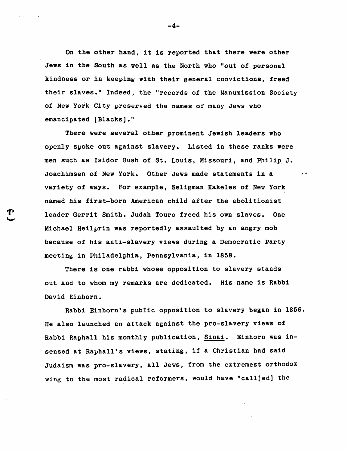On the other hand, it is reported that there were other Jews in the South as well as the North who Pout of personal kindness or in keeping with their general convictions, freed their slaves." Indeed, the "records of the Manumission Society of New York City preserved the names of many Jews who emancipated [Blacks]."

There were several other prominent Jewish leaders who openly spoke out against slavery. Listed in these ranks were men such as Isidor Bush of St. Louis, Missouri, and Philip J. Joachimsen of New York. Other Jews made statements in a variety of ways. For example, Seligman Kake1es of New York named his first-born American child after the abolitionist leader Gerrit Smith. Judab Touro freed his own slaves. One Michael Hei1prin was reportedly assaulted by an angry mob because of his anti-slavery views during a Democratic Party meeting in Philadelphia, Pennsylvania, in 1858.

¶l'

There is one rabbi whose opposition to slavery stands out and to whom my remarks are dedicated. His name is Rabbi David Einhorn.

Rabbi Einhorn's public opposition to slavery began in 1856. He also launched an attack against the pro-slavery views of Rabbi Rapha11 his monthly publication, Sinai. Einhorn was 1nsensed at Raphall's views, stating, if a Christian had said Judaism was pro-slavery, all Jews, from the extremest orthodox wing to the most radical reformers, would have "ca11[ed] the

-4-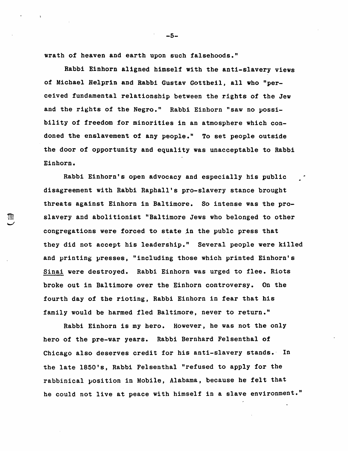wrath of heaven and earth upon such falsehoods."

Rabbi Einhorn aligned himself with the anti-slavery views of Michael Helprin and Rabbi Gustav Gottheil, all who "perceived fundamental relationship between the rights of the Jew and the rights of the Negro." Rabbi Einhorn "saw no possibility of freedom for minorities in an atmosphere which condoned the enslavement of any people." To set people outside the door of opportunity and equality was unacceptable to Rabbi Einhorn.

Rabbi Einhorn's open advocacy and especially his public disagreement with Rabbi Raphall's pro-slavery stance brought threats against Einhorn in Baltimore. So intense was the pro-  $$\mathbb{R}^{\mathbb{N}}$$  slavery and abolitionist "Baltimore Jews who belonged to other congregations were forced to state in the publc press that they did not accept his leadership." Several people were killed and printing presses, "including those which printed Einhorn's Sinai were destroyed. Rabbi Einhorn was urged to flee. Riots broke out in Baltimore over the Einhorn controversy. On the fourth day of the rioting, Rabbi Einhorn in fear that his family would be harmed fled Baltimore, never to return."

> Rabbi Einhorn is my hero. However, he was not the only hero of the pre-war years. Rabbi Bernhard Felsenthal of Chicago also deserves credit for his anti-slavery stands.' In the late 1850's, Rabbi Felsenthal "refused to apply for the rabbinical position in Mobile, Alabama, because he felt that he could not live at peace with himself in a slave environment."

-5-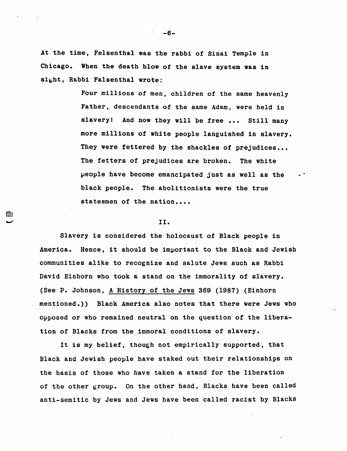At the time, Felsenthal was the rabbi of Sinai Temple in Chicago. When the death blow of the slave system was in sibht, Rabbi Falsenthal wrote:

> Four millions of men, children of the same heavenly Father, descendants of the same Adam, were held in slavery! And now they will be free ... Still many more millions of white people languished in slavery. They were fettered by the shackles of prejudices... The fetters of prejudices are broken. The white people have become emancipated just as well as the black people. The abolitionists were the true statesmen of the nation....

 $\cdot$   $\cdot$ 

## II.

lID I

Slavery is considered the holocaust of Black people in America. Hence, it should be important to the Black and Jewish communities alike to recognize and salute Jews such as Rabbi David Einhorn who took a stand on the immorality of slavery. (See P. Johnson, A History of the Jews 369 (1987) (Einhorn mentioned.)) Black America also notes that there were Jews who opposed or who remained neutral on the question of the liberation of Blacks from the immoral conditions of slavery.

It is my belief, though not empirically supported, that Black and Jewish people have staked out their relationships on the basis of those who have taken a stand for the liberation of the other group. On the other hand, Blacks have been called anti-semitic by Jews and Jews have been called racist by Blacks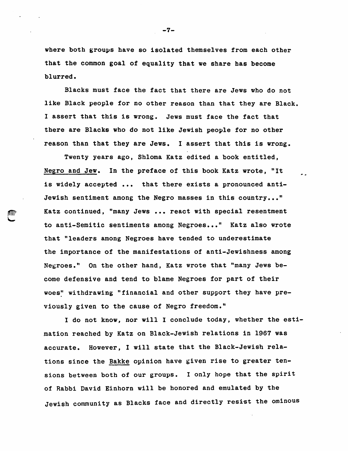where both groups have so isolated themselves from each other that the common goal of equality that we share has become blurred.

Blacks must face the fact that there are Jews who do not like Black people for no other reason than that they are Black. I assert that this is wrong. Jews must face the fact that there are Blacks who do not like Jewish people for no other reason than that they are Jews. I assert that this is wrong.

Twenty years ago, Shloma Katz edited a book entitled, Negro and Jew. In the preface of this book Katz wrote, "It is widely accepted ... that there exists a pronounced anti-Jewish sentiment among the Negro masses in this country..."  $\text{min}$  Katz continued, "many Jews ... react with special resentment to anti-Semitic sentiments among Negroes..." Katz also wrote that "leaders among Negroes have tended to underestimate the importance of the manifestations of anti-Jewishness among Negroes." On the other hand, Katz wrote that "many Jews become defensive and tend to blame Negroes for part of their woes" withdrawing "financial and other support they have previously given to the cause of Negro freedom."

"-

I do not know, nor will I conclude today, whether the estimation reached by Katz on Black-Jewish relations in 1967 was accurate. However, I will state that the Black-Jewish relations since the Bakke opinion have given rise to greater tensions between both of our groups. I only hope that the spirit of Rabbi David Einhorn will be honored and emulated by the Jewish community as Blacks face and directly resist the ominous

-7-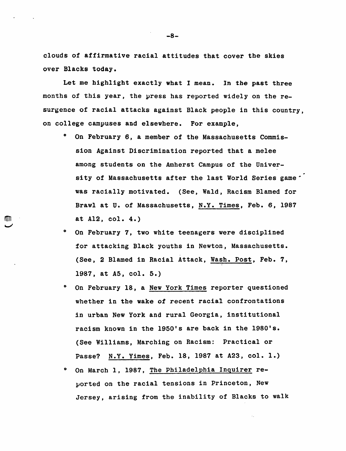clouds of affirmative racial attitudes that cover the skies over Blacks today.

Let me highlight exactly what I mean. In the past three months of this year, the press has reported widely on the resurgence of racial attacks against Black people in this country, on college campuses and elsewhere. For example,

- o On February 6, a member of the Massachusetts Commission Against Discrimination reported that a melee among students on the Amherst Campus of the University of Massachusetts after the last World Series game<sup>\*</sup> was racially motivated. (See, Wald, Racism Blamed for Brawl at U. of Massachusetts, N.Y. Times, Feb. 6, 1987 at A12, col. 4.)
- o On February 7, two white teenagers were disciplined for attacking Black youths in Newton, Massachusetts. (See, 2 Blamed in Racial Attack, Wash. Post, Feb. 7, 1987, at A5, col. 5.)
- o On February 18, a New York Times reporter questioned whether in the wake of recent racial confrontations in urban New York and rural Georgia, institutional racism known in the 1950's are back in the 1980's. (See Williams, Marching on Racism: Practical or Passe? N.Y. Yimes, Feb. 18, 1987 at A23, col. 1.)
- o On March 1, 1987, The Philadelphia Inquirer re ported on the racial tensions in Princeton, New Jersey, arising from the inability of Blacks to walk

-8-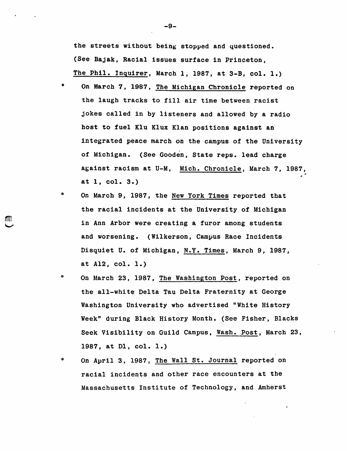the streets without being stopped and questioned. (See Bajak, Racial issues surface in Princeton, The Phil. Inguirer, March 1, 1987, at 3-B, col. 1.)

- o On March 7, 1987, The Michigan Chronicle reported on the laugh tracks to fill air time between racist jokes called in by listeners and allowed by a radio host to fuel Klu Klux Klan positions against an integrated peace march on the campus of the University of Michigan. (See Gooden, State reps. lead charge against racism at U-M, Mich. Chronicle, March 7, 1987, at 1, col. 3.)
- o On March 9, 1987, the New York Times reported that the racial incidents at the University of Michigan in Ann Arbor were creating a furor among students and worsening. (Wilkerson, Campus Race Incidents Disquiet U. of Michigan, N.Y. Times, March 9, 1987, at A12, col. 1.)

MH.

- o On March 23, 1987, The Washington Post, reported on the all-white Delta Tau Delta Fraternity at George Washington University who advertised "White History Week" during Black History Month. (See Fisher, Blacks Seek Visibility on Guild Campus, Wash. Post, March 23, 1987, at D1, col. 1.)
- o On April 3, 1987, The Wall St. Journal reported on racial incidents and other race encounters at the Massachusetts Institute of Technology, and Amherst

-9-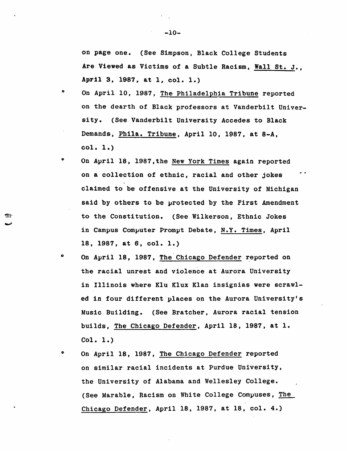on page one. (See Simpson, Black College Students Are Viewed as Victims of a Subtle Racism, Wall St. J., April 3. 1987. at I, col. 1.)

- o On April 10, 1987, The Philadelphia Tribune reported on the dearth of Black professors at Vanderbilt University. (See Vanderbilt University Accedes to Black Demands, Phila. Tribune, April 10, 1987, at *8-A,*  col. 1.)
- o On April 18, 1987,the New York Times again reported on a collection of ethnic, racial and other jokes claimed to be offensive at the University of Michigan said by others to be protected by the First Amendment to the Constitution. (See Wilkerson, Ethnic Jokes in Campus Computer Prompt Debate, N.Y. Times, April 18, 1987, at 6, col. 1.)

TII.

- o On April 18, 1987, The Chicago Defender reported on the racial unrest and violence at Aurora University in Illinois where K1u Klux Klan insignias were scrawled in four different places on the Aurora University's Music Building. (See Bratcher, Aurora racial tension builds, The Chicago Defender, April 18, 1987, at 1. Col. 1.)
- o On April 18, 1987, The Chicago Defender reported on similar racial incidents at Purdue University, the University of Alabama and Wellesley College. (See Marable, Racism on White College Compuses, The Chicago Defender, April 18, 1987, at 18, col. 4.)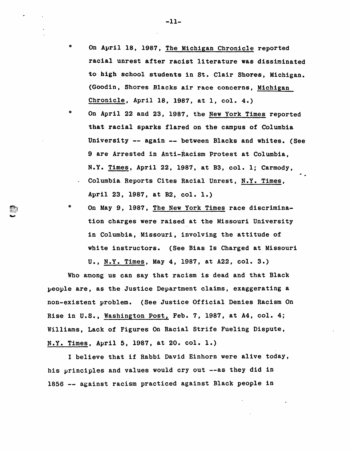- On April 18, 1987, The Michigan Chronicle reported racial unrest after racist literature was dissiminated to high school students in St. Clair Shores, Michigan. (Goodin, Shores Blacks air race concerns, Michigan Chronicle, April 18, 1987, at 1, col. 4.)
- o On April 22 and 23, 1987, the New York Times reported that racial sparks flared on the campus of Columbia University -- again -- between Blacks and whites. (See 9 are Arrested in Anti-Racism Protest at Columbia, N.Y. Times, April 22, 1987, at B3, col. 1; Carmody, Columbia Reports Cites Racial Unrest, N.Y. Times, April 23, 1987, at B2, col. 1.)
- o On May 9, 1987, The New York Times race discrimination charges were raised at the Missouri University in Columbia, Missouri, involving the attitude of white instructors. (See Bias Is Charged at Missouri U., N.Y. Times, May 4, 1987, at A22, col. 3.)

Who among us can say that racism is dead and that Black people are, as the Justice Department claims, exaggerating a non-existent problem. (See Justice Official Denies Racism On Rise in U.S., Washington Post, Feb. 7, 1987, at A4, col. 4; Williams, Lack of Figures On Racial Strife Fueling Dispute, N.Y. Times, April 5, 1987, at 20. col. 1.)

I believe that if Rabbi David Einhorn were alive today, his principles and values would cry out --as they did in 1856 -- against racism practiced against Black people in

o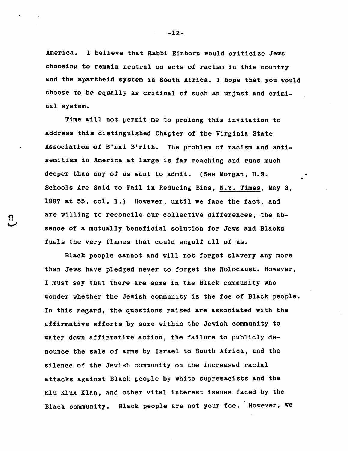America. I believe that Rabbi Einhorn would criticize Jews choosing to remain neutral on acts of racism in this country and the apartheid system in South Africa. I hope that you would choose to be equally as critical of such an unjust and criminal system.

Time will not permit me to prolong this invitation to address this distinguished Chapter of the Virginia State Association of B'nai B'rith. The problem of racism and antisemitism in America at large is far reaching and runs much deeper than any of us want to admit. (See Morgan, U.S. Schools Are Said to Fail in Reducing Bias, N.Y. Times, May 3, 1987 at 55, col. 1.) However, until we face the fact, and are willing to reconcile our collective differences, the absence of a mutually beneficial solution for Jews and Blacks fuels the very flames that could engulf all of us.

Black people cannot and will not forget slavery any more than Jews have pledged never to forget the Holocaust. However, I must say that there are some in the Black community who wonder whether the Jewish community is the foe of Black people. In this regard, the questions raised are associated with the affirmative efforts by some within the Jewish community to water down affirmative action, the failure to publicly denounce the sale of arms by Israel to South Africa, and the silence of the Jewish community on the increased racial attacks against Black people by white supremacists and the Klu Klux Klan, and other vital interest issues faced by the Black community. Black people are not your foe. However, we

-·-12-